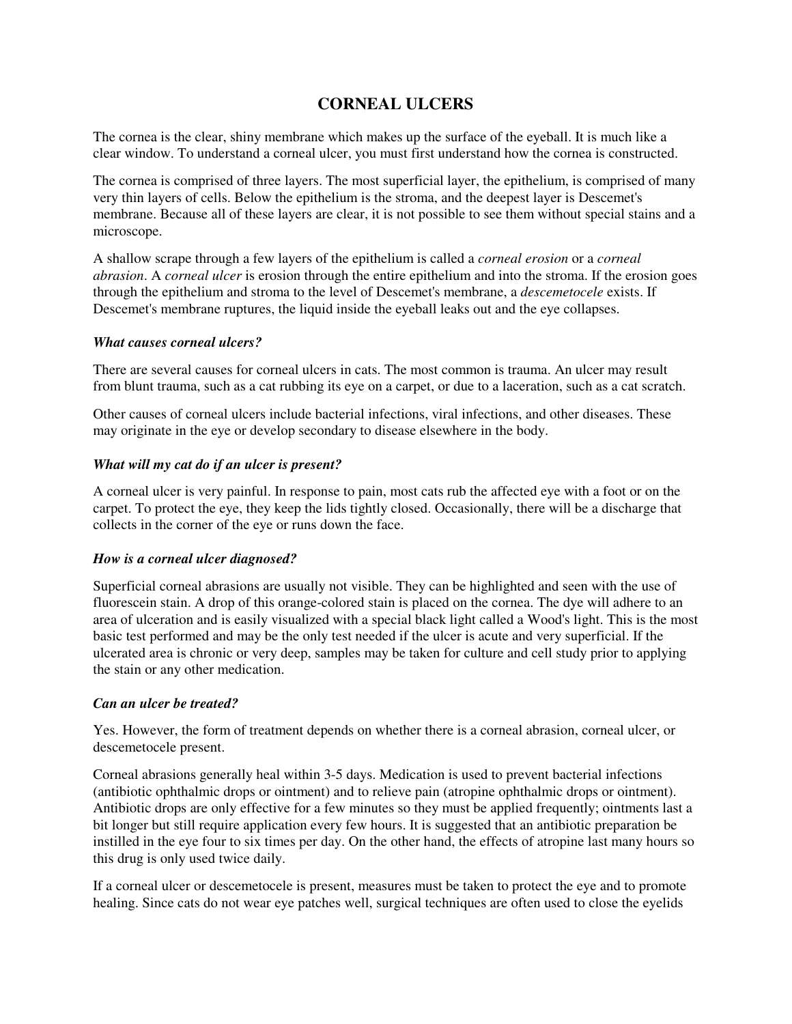# **CORNEAL ULCERS**

The cornea is the clear, shiny membrane which makes up the surface of the eyeball. It is much like a clear window. To understand a corneal ulcer, you must first understand how the cornea is constructed.

The cornea is comprised of three layers. The most superficial layer, the epithelium, is comprised of many very thin layers of cells. Below the epithelium is the stroma, and the deepest layer is Descemet's membrane. Because all of these layers are clear, it is not possible to see them without special stains and a microscope.

A shallow scrape through a few layers of the epithelium is called a *corneal erosion* or a *corneal abrasion*. A *corneal ulcer* is erosion through the entire epithelium and into the stroma. If the erosion goes through the epithelium and stroma to the level of Descemet's membrane, a *descemetocele* exists. If Descemet's membrane ruptures, the liquid inside the eyeball leaks out and the eye collapses.

## *What causes corneal ulcers?*

There are several causes for corneal ulcers in cats. The most common is trauma. An ulcer may result from blunt trauma, such as a cat rubbing its eye on a carpet, or due to a laceration, such as a cat scratch.

Other causes of corneal ulcers include bacterial infections, viral infections, and other diseases. These may originate in the eye or develop secondary to disease elsewhere in the body.

## *What will my cat do if an ulcer is present?*

A corneal ulcer is very painful. In response to pain, most cats rub the affected eye with a foot or on the carpet. To protect the eye, they keep the lids tightly closed. Occasionally, there will be a discharge that collects in the corner of the eye or runs down the face.

## *How is a corneal ulcer diagnosed?*

Superficial corneal abrasions are usually not visible. They can be highlighted and seen with the use of fluorescein stain. A drop of this orange-colored stain is placed on the cornea. The dye will adhere to an area of ulceration and is easily visualized with a special black light called a Wood's light. This is the most basic test performed and may be the only test needed if the ulcer is acute and very superficial. If the ulcerated area is chronic or very deep, samples may be taken for culture and cell study prior to applying the stain or any other medication.

## *Can an ulcer be treated?*

Yes. However, the form of treatment depends on whether there is a corneal abrasion, corneal ulcer, or descemetocele present.

Corneal abrasions generally heal within 3-5 days. Medication is used to prevent bacterial infections (antibiotic ophthalmic drops or ointment) and to relieve pain (atropine ophthalmic drops or ointment). Antibiotic drops are only effective for a few minutes so they must be applied frequently; ointments last a bit longer but still require application every few hours. It is suggested that an antibiotic preparation be instilled in the eye four to six times per day. On the other hand, the effects of atropine last many hours so this drug is only used twice daily.

If a corneal ulcer or descemetocele is present, measures must be taken to protect the eye and to promote healing. Since cats do not wear eye patches well, surgical techniques are often used to close the eyelids